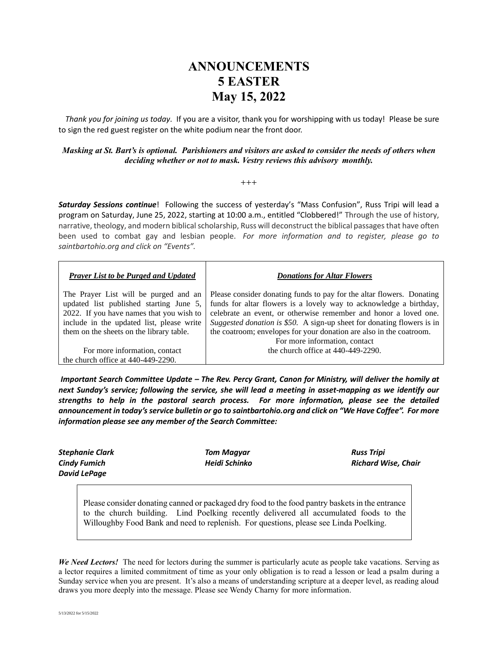## **ANNOUNCEMENTS 5 EASTER May 15, 2022**

 *Thank you for joining us today*. If you are a visitor, thank you for worshipping with us today! Please be sure to sign the red guest register on the white podium near the front door.

## *Masking at St. Bart's is optional. Parishioners and visitors are asked to consider the needs of others when deciding whether or not to mask. Vestry reviews this advisory monthly.*

 $^{+++}$ 

*Saturday Sessions continue*! Following the success of yesterday's "Mass Confusion", Russ Tripi will lead a program on Saturday, June 25, 2022, starting at 10:00 a.m., entitled "Clobbered!" Through the use of history, narrative, theology, and modern biblical scholarship, Russ will deconstruct the biblical passages that have often been used to combat gay and lesbian people. *For more information and to register, please go to saintbartohio.org and click on "Events".*

| <b>Prayer List to be Purged and Updated</b> | <b>Donations for Altar Flowers</b>                                     |
|---------------------------------------------|------------------------------------------------------------------------|
| The Prayer List will be purged and an       | Please consider donating funds to pay for the altar flowers. Donating  |
| updated list published starting June 5,     | funds for altar flowers is a lovely way to acknowledge a birthday,     |
| 2022. If you have names that you wish to    | celebrate an event, or otherwise remember and honor a loved one.       |
| include in the updated list, please write   | Suggested donation is \$50. A sign-up sheet for donating flowers is in |
| them on the sheets on the library table.    | the coatroom; envelopes for your donation are also in the coatroom.    |
|                                             | For more information, contact                                          |
| For more information, contact               | the church office at 440-449-2290.                                     |
| the church office at $440-449-2290$ .       |                                                                        |

*Important Search Committee Update – The Rev. Percy Grant, Canon for Ministry, will deliver the homily at next Sunday's service; following the service, she will lead a meeting in asset-mapping as we identify our strengths to help in the pastoral search process. For more information, please see the detailed announcement in today's service bulletin or go to saintbartohio.org and click on "We Have Coffee". For more information please see any member of the Search Committee:*

| <b>Stephanie Clark</b> | Tom Magyar    | <b>Russ Tripi</b>   |
|------------------------|---------------|---------------------|
| <b>Cindy Fumich</b>    | Heidi Schinko | Richard Wise, Chair |
| David LePage           |               |                     |

Please consider donating canned or packaged dry food to the food pantry baskets in the entrance to the church building. Lind Poelking recently delivered all accumulated foods to the Willoughby Food Bank and need to replenish. For questions, please see Linda Poelking.

*We Need Lectors!* The need for lectors during the summer is particularly acute as people take vacations. Serving as a lector requires a limited commitment of time as your only obligation is to read a lesson or lead a psalm during a Sunday service when you are present. It's also a means of understanding scripture at a deeper level, as reading aloud draws you more deeply into the message. Please see Wendy Charny for more information.

5/13/2022 for 5/15/2022